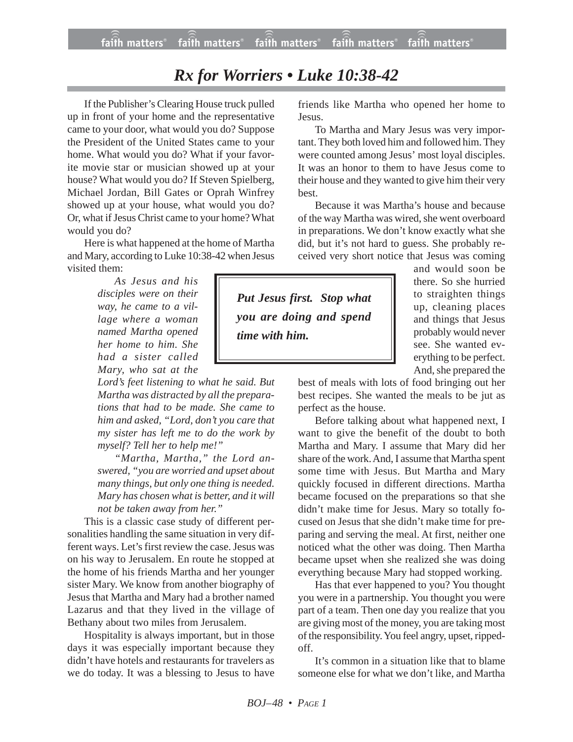## *Rx for Worriers • Luke 10:38-42*

If the Publisher's Clearing House truck pulled up in front of your home and the representative came to your door, what would you do? Suppose the President of the United States came to your home. What would you do? What if your favorite movie star or musician showed up at your house? What would you do? If Steven Spielberg, Michael Jordan, Bill Gates or Oprah Winfrey showed up at your house, what would you do? Or, what if Jesus Christ came to your home? What would you do?

Here is what happened at the home of Martha and Mary, according to Luke 10:38-42 when Jesus visited them:

> *As Jesus and his disciples were on their way, he came to a village where a woman named Martha opened her home to him. She had a sister called Mary, who sat at the*

*Lord's feet listening to what he said. But Martha was distracted by all the preparations that had to be made. She came to him and asked, "Lord, don't you care that my sister has left me to do the work by myself? Tell her to help me!"*

*"Martha, Martha," the Lord answered, "you are worried and upset about many things, but only one thing is needed. Mary has chosen what is better, and it will not be taken away from her."*

This is a classic case study of different personalities handling the same situation in very different ways. Let's first review the case. Jesus was on his way to Jerusalem. En route he stopped at the home of his friends Martha and her younger sister Mary. We know from another biography of Jesus that Martha and Mary had a brother named Lazarus and that they lived in the village of Bethany about two miles from Jerusalem.

Hospitality is always important, but in those days it was especially important because they didn't have hotels and restaurants for travelers as we do today. It was a blessing to Jesus to have friends like Martha who opened her home to Jesus.

To Martha and Mary Jesus was very important. They both loved him and followed him. They were counted among Jesus' most loyal disciples. It was an honor to them to have Jesus come to their house and they wanted to give him their very best.

Because it was Martha's house and because of the way Martha was wired, she went overboard in preparations. We don't know exactly what she did, but it's not hard to guess. She probably received very short notice that Jesus was coming

*Put Jesus first. Stop what you are doing and spend time with him.*

and would soon be there. So she hurried to straighten things up, cleaning places and things that Jesus probably would never see. She wanted everything to be perfect. And, she prepared the

best of meals with lots of food bringing out her best recipes. She wanted the meals to be jut as perfect as the house.

Before talking about what happened next, I want to give the benefit of the doubt to both Martha and Mary. I assume that Mary did her share of the work. And, I assume that Martha spent some time with Jesus. But Martha and Mary quickly focused in different directions. Martha became focused on the preparations so that she didn't make time for Jesus. Mary so totally focused on Jesus that she didn't make time for preparing and serving the meal. At first, neither one noticed what the other was doing. Then Martha became upset when she realized she was doing everything because Mary had stopped working.

Has that ever happened to you? You thought you were in a partnership. You thought you were part of a team. Then one day you realize that you are giving most of the money, you are taking most of the responsibility. You feel angry, upset, rippedoff.

It's common in a situation like that to blame someone else for what we don't like, and Martha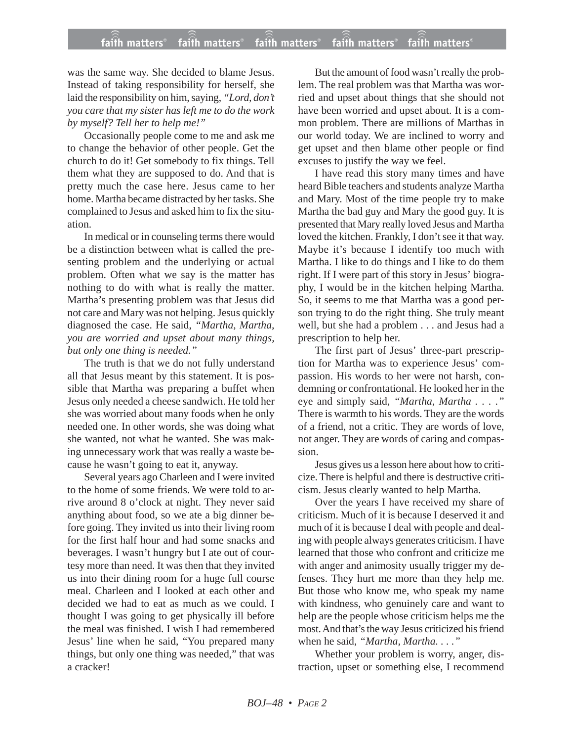## **faith matters® faith matters® faith matters® faith matters® faith matters®** ))) ))) faith matters® faith matters<sup>®</sup> faith matters

was the same way. She decided to blame Jesus. Instead of taking responsibility for herself, she laid the responsibility on him, saying, *"Lord, don't you care that my sister has left me to do the work by myself? Tell her to help me!"*

Occasionally people come to me and ask me to change the behavior of other people. Get the church to do it! Get somebody to fix things. Tell them what they are supposed to do. And that is pretty much the case here. Jesus came to her home. Martha became distracted by her tasks. She complained to Jesus and asked him to fix the situation.

In medical or in counseling terms there would be a distinction between what is called the presenting problem and the underlying or actual problem. Often what we say is the matter has nothing to do with what is really the matter. Martha's presenting problem was that Jesus did not care and Mary was not helping. Jesus quickly diagnosed the case. He said, *"Martha, Martha, you are worried and upset about many things, but only one thing is needed."*

The truth is that we do not fully understand all that Jesus meant by this statement. It is possible that Martha was preparing a buffet when Jesus only needed a cheese sandwich. He told her she was worried about many foods when he only needed one. In other words, she was doing what she wanted, not what he wanted. She was making unnecessary work that was really a waste because he wasn't going to eat it, anyway.

Several years ago Charleen and I were invited to the home of some friends. We were told to arrive around 8 o'clock at night. They never said anything about food, so we ate a big dinner before going. They invited us into their living room for the first half hour and had some snacks and beverages. I wasn't hungry but I ate out of courtesy more than need. It was then that they invited us into their dining room for a huge full course meal. Charleen and I looked at each other and decided we had to eat as much as we could. I thought I was going to get physically ill before the meal was finished. I wish I had remembered Jesus' line when he said, "You prepared many things, but only one thing was needed," that was a cracker!

But the amount of food wasn't really the problem. The real problem was that Martha was worried and upset about things that she should not have been worried and upset about. It is a common problem. There are millions of Marthas in our world today. We are inclined to worry and get upset and then blame other people or find excuses to justify the way we feel.

I have read this story many times and have heard Bible teachers and students analyze Martha and Mary. Most of the time people try to make Martha the bad guy and Mary the good guy. It is presented that Mary really loved Jesus and Martha loved the kitchen. Frankly, I don't see it that way. Maybe it's because I identify too much with Martha. I like to do things and I like to do them right. If I were part of this story in Jesus' biography, I would be in the kitchen helping Martha. So, it seems to me that Martha was a good person trying to do the right thing. She truly meant well, but she had a problem . . . and Jesus had a prescription to help her.

The first part of Jesus' three-part prescription for Martha was to experience Jesus' compassion. His words to her were not harsh, condemning or confrontational. He looked her in the eye and simply said, *"Martha, Martha . . . ."* There is warmth to his words. They are the words of a friend, not a critic. They are words of love, not anger. They are words of caring and compassion.

Jesus gives us a lesson here about how to criticize. There is helpful and there is destructive criticism. Jesus clearly wanted to help Martha.

Over the years I have received my share of criticism. Much of it is because I deserved it and much of it is because I deal with people and dealing with people always generates criticism. I have learned that those who confront and criticize me with anger and animosity usually trigger my defenses. They hurt me more than they help me. But those who know me, who speak my name with kindness, who genuinely care and want to help are the people whose criticism helps me the most. And that's the way Jesus criticized his friend when he said, *"Martha, Martha. . . ."*

Whether your problem is worry, anger, distraction, upset or something else, I recommend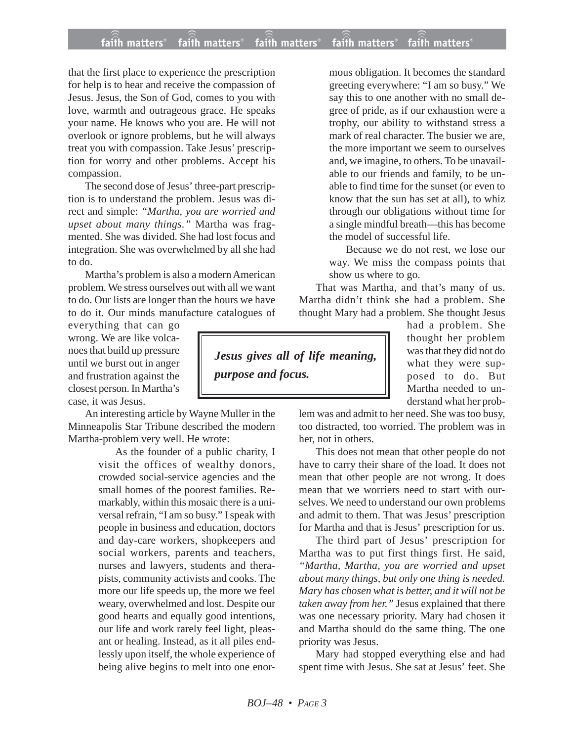## **faith matters® faith matters® faith matters® faith matters® faith matters®** ))) ))) faith matters® faith matters faith matters

that the first place to experience the prescription for help is to hear and receive the compassion of Jesus. Jesus, the Son of God, comes to you with love, warmth and outrageous grace. He speaks your name. He knows who you are. He will not overlook or ignore problems, but he will always treat you with compassion. Take Jesus' prescription for worry and other problems. Accept his compassion.

The second dose of Jesus' three-part prescription is to understand the problem. Jesus was direct and simple: *"Martha, you are worried and upset about many things."* Martha was fragmented. She was divided. She had lost focus and integration. She was overwhelmed by all she had to do.

Martha's problem is also a modern American problem. We stress ourselves out with all we want to do. Our lists are longer than the hours we have to do it. Our minds manufacture catalogues of

everything that can go wrong. We are like volcanoes that build up pressure until we burst out in anger and frustration against the closest person. In Martha's case, it was Jesus.

An interesting article by Wayne Muller in the Minneapolis Star Tribune described the modern Martha-problem very well. He wrote:

> As the founder of a public charity, I visit the offices of wealthy donors, crowded social-service agencies and the small homes of the poorest families. Remarkably, within this mosaic there is a universal refrain, "I am so busy." I speak with people in business and education, doctors and day-care workers, shopkeepers and social workers, parents and teachers, nurses and lawyers, students and therapists, community activists and cooks. The more our life speeds up, the more we feel weary, overwhelmed and lost. Despite our good hearts and equally good intentions, our life and work rarely feel light, pleasant or healing. Instead, as it all piles endlessly upon itself, the whole experience of being alive begins to melt into one enor

mous obligation. It becomes the standard greeting everywhere: "I am so busy." We say this to one another with no small degree of pride, as if our exhaustion were a trophy, our ability to withstand stress a mark of real character. The busier we are, the more important we seem to ourselves and, we imagine, to others. To be unavailable to our friends and family, to be unable to find time for the sunset (or even to know that the sun has set at all), to whiz through our obligations without time for a single mindful breath—this has become the model of successful life.

Because we do not rest, we lose our way. We miss the compass points that show us where to go.

That was Martha, and that's many of us. Martha didn't think she had a problem. She thought Mary had a problem. She thought Jesus

*Jesus gives all of life meaning, purpose and focus.*

had a problem. She thought her problem was that they did not do what they were supposed to do. But Martha needed to understand what her prob-

lem was and admit to her need. She was too busy, too distracted, too worried. The problem was in her, not in others.

This does not mean that other people do not have to carry their share of the load. It does not mean that other people are not wrong. It does mean that we worriers need to start with ourselves. We need to understand our own problems and admit to them. That was Jesus' prescription for Martha and that is Jesus' prescription for us.

The third part of Jesus' prescription for Martha was to put first things first. He said, *"Martha, Martha, you are worried and upset about many things, but only one thing is needed. Mary has chosen what is better, and it will not be taken away from her."* Jesus explained that there was one necessary priority. Mary had chosen it and Martha should do the same thing. The one priority was Jesus.

Mary had stopped everything else and had spent time with Jesus. She sat at Jesus' feet. She